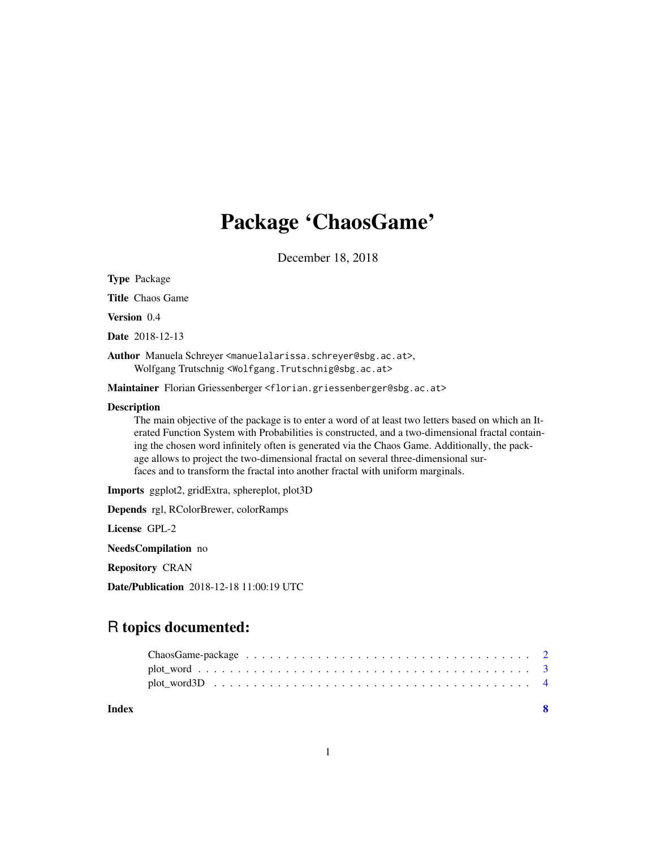## Package 'ChaosGame'

December 18, 2018

Type Package Title Chaos Game Version 0.4 Date 2018-12-13 Author Manuela Schreyer <manuelalarissa.schreyer@sbg.ac.at>, Wolfgang Trutschnig <Wolfgang.Trutschnig@sbg.ac.at> Maintainer Florian Griessenberger <florian.griessenberger@sbg.ac.at> Description The main objective of the package is to enter a word of at least two letters based on which an Iterated Function System with Probabilities is constructed, and a two-dimensional fractal containing the chosen word infinitely often is generated via the Chaos Game. Additionally, the package allows to project the two-dimensional fractal on several three-dimensional surfaces and to transform the fractal into another fractal with uniform marginals. Imports ggplot2, gridExtra, sphereplot, plot3D Depends rgl, RColorBrewer, colorRamps License GPL-2 NeedsCompilation no Repository CRAN

Date/Publication 2018-12-18 11:00:19 UTC

### R topics documented:

| Index |  |
|-------|--|
|       |  |
|       |  |
|       |  |

1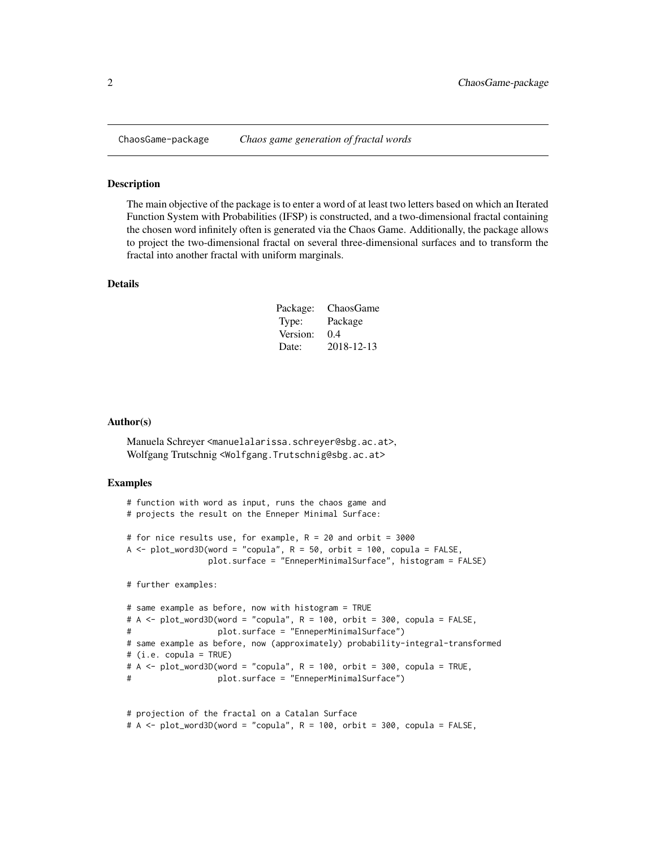<span id="page-1-0"></span>

#### Description

The main objective of the package is to enter a word of at least two letters based on which an Iterated Function System with Probabilities (IFSP) is constructed, and a two-dimensional fractal containing the chosen word infinitely often is generated via the Chaos Game. Additionally, the package allows to project the two-dimensional fractal on several three-dimensional surfaces and to transform the fractal into another fractal with uniform marginals.

#### Details

| Package: | ChaosGame  |
|----------|------------|
| Type:    | Package    |
| Version: | 0.4        |
| Date:    | 2018-12-13 |

#### Author(s)

Manuela Schreyer <manuelalarissa.schreyer@sbg.ac.at>, Wolfgang Trutschnig <Wolfgang.Trutschnig@sbg.ac.at>

#### Examples

```
# function with word as input, runs the chaos game and
# projects the result on the Enneper Minimal Surface:
# for nice results use, for example, R = 20 and orbit = 3000
A \le plot_word3D(word = "copula", R = 50, orbit = 100, copula = FALSE,
                plot.surface = "EnneperMinimalSurface", histogram = FALSE)
# further examples:
# same example as before, now with histogram = TRUE
# A <- plot_word3D(word = "copula", R = 100, orbit = 300, copula = FALSE,
# plot.surface = "EnneperMinimalSurface")
# same example as before, now (approximately) probability-integral-transformed
# (i.e. copula = TRUE)
# A <- plot_word3D(word = "copula", R = 100, orbit = 300, copula = TRUE,
# plot.surface = "EnneperMinimalSurface")
# projection of the fractal on a Catalan Surface
```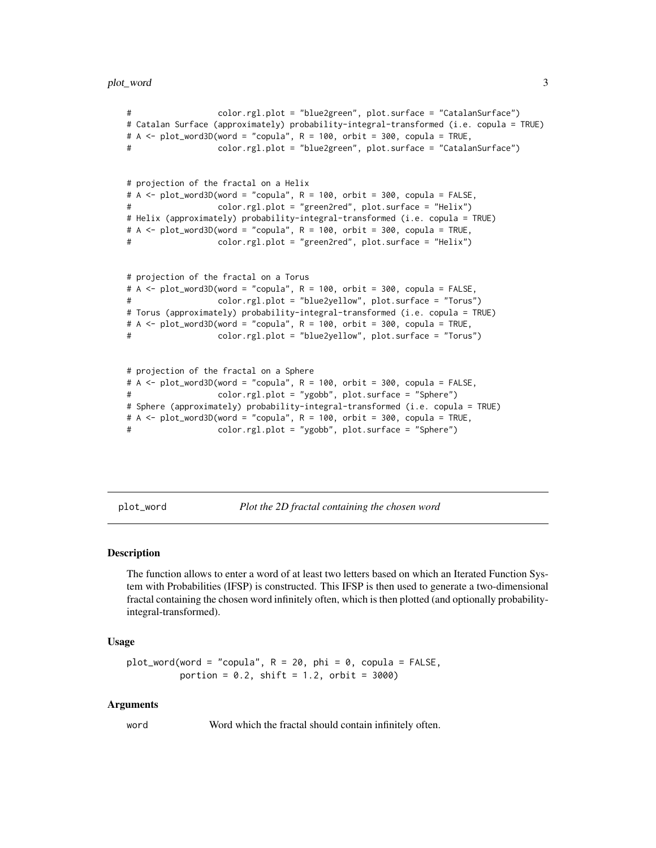```
# color.rgl.plot = "blue2green", plot.surface = "CatalanSurface")
# Catalan Surface (approximately) probability-integral-transformed (i.e. copula = TRUE)
# A <- plot_word3D(word = "copula", R = 100, orbit = 300, copula = TRUE,
# color.rgl.plot = "blue2green", plot.surface = "CatalanSurface")
# projection of the fractal on a Helix
# A <- plot_word3D(word = "copula", R = 100, orbit = 300, copula = FALSE,
# color.rgl.plot = "green2red", plot.surface = "Helix")
# Helix (approximately) probability-integral-transformed (i.e. copula = TRUE)
# A <- plot_word3D(word = "copula", R = 100, orbit = 300, copula = TRUE,
                 color.rgl.plot = "green2red", plot.surface = "Helix")# projection of the fractal on a Torus
# A <- plot_word3D(word = "copula", R = 100, orbit = 300, copula = FALSE,
# color.rgl.plot = "blue2yellow", plot.surface = "Torus")
# Torus (approximately) probability-integral-transformed (i.e. copula = TRUE)
# A <- plot_word3D(word = "copula", R = 100, orbit = 300, copula = TRUE,
# color.rgl.plot = "blue2yellow", plot.surface = "Torus")
# projection of the fractal on a Sphere
# A <- plot_word3D(word = "copula", R = 100, orbit = 300, copula = FALSE,
# color.rgl.plot = "ygobb", plot.surface = "Sphere")
# Sphere (approximately) probability-integral-transformed (i.e. copula = TRUE)
# A <- plot_word3D(word = "copula", R = 100, orbit = 300, copula = TRUE,
# color.rgl.plot = "ygobb", plot.surface = "Sphere")
```
plot\_word *Plot the 2D fractal containing the chosen word*

#### Description

The function allows to enter a word of at least two letters based on which an Iterated Function System with Probabilities (IFSP) is constructed. This IFSP is then used to generate a two-dimensional fractal containing the chosen word infinitely often, which is then plotted (and optionally probabilityintegral-transformed).

#### Usage

 $plot_words(word = "copula", R = 20, phi = 0, copula = FALSE,$ portion =  $0.2$ , shift =  $1.2$ , orbit =  $3000$ )

#### Arguments

word Word which the fractal should contain infinitely often.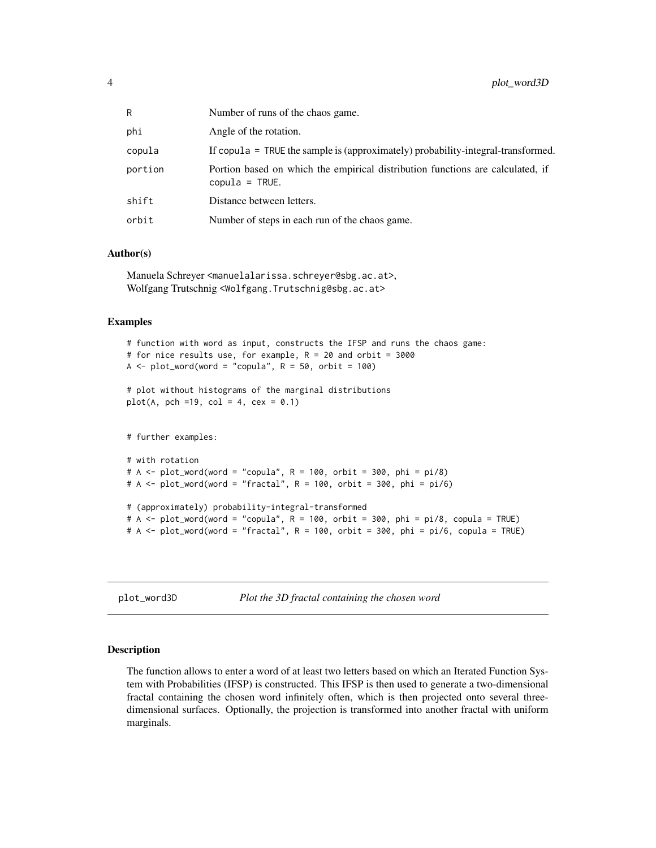<span id="page-3-0"></span>

| R       | Number of runs of the chaos game.                                                                  |
|---------|----------------------------------------------------------------------------------------------------|
| phi     | Angle of the rotation.                                                                             |
| copula  | If copula = TRUE the sample is (approximately) probability-integral-transformed.                   |
| portion | Portion based on which the empirical distribution functions are calculated, if<br>$copula = TRUE.$ |
| shift   | Distance between letters.                                                                          |
| orbit   | Number of steps in each run of the chaos game.                                                     |

#### Author(s)

Manuela Schreyer <manuelalarissa.schreyer@sbg.ac.at>, Wolfgang Trutschnig <Wolfgang.Trutschnig@sbg.ac.at>

#### Examples

```
# function with word as input, constructs the IFSP and runs the chaos game:
# for nice results use, for example, R = 20 and orbit = 3000
A \leq plot_{word(word = "copula", R = 50, orbit = 100)}# plot without histograms of the marginal distributions
plot(A, pch =19, col = 4, cex = 0.1)# further examples:
# with rotation
# A \le plot_word(word = "copula", R = 100, orbit = 300, phi = pi/8)
# A \le plot_word(word = "fractal", R = 100, orbit = 300, phi = pi/6)
# (approximately) probability-integral-transformed
# A <- plot_word(word = "copula", R = 100, orbit = 300, phi = pi/8, copula = TRUE)
# A <- plot_word(word = "fractal", R = 100, orbit = 300, phi = pi/6, copula = TRUE)
```
plot\_word3D *Plot the 3D fractal containing the chosen word*

#### Description

The function allows to enter a word of at least two letters based on which an Iterated Function System with Probabilities (IFSP) is constructed. This IFSP is then used to generate a two-dimensional fractal containing the chosen word infinitely often, which is then projected onto several threedimensional surfaces. Optionally, the projection is transformed into another fractal with uniform marginals.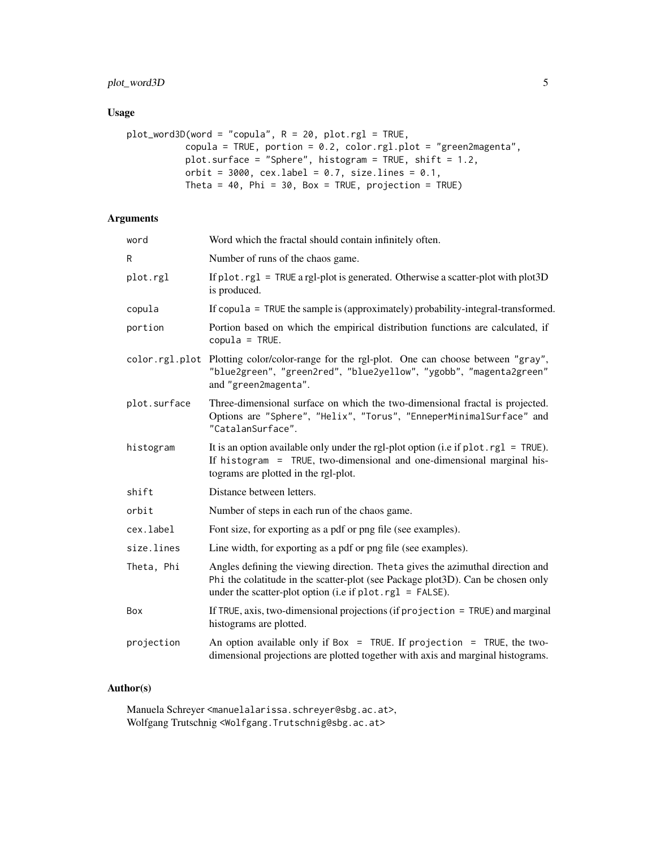#### plot\_word3D 5

#### Usage

```
plot_wordsD(word = "copula", R = 20, plot.rgl = TRUE,copula = TRUE, portion = 0.2, color.rgl.plot = "green2magenta",
          plot.surface = "Sphere", histogram = TRUE, shift = 1.2,
          orbit = 3000, cex.label = 0.7, size.lines = 0.1,
          Theta = 40, Phi = 30, Box = TRUE, projection = TRUE)
```
#### Arguments

| word         | Word which the fractal should contain infinitely often.                                                                                                                                                                          |
|--------------|----------------------------------------------------------------------------------------------------------------------------------------------------------------------------------------------------------------------------------|
| R            | Number of runs of the chaos game.                                                                                                                                                                                                |
| plot.rgl     | If $plot. rgl = TRUE$ a rgl-plot is generated. Otherwise a scatter-plot with $plot3D$<br>is produced.                                                                                                                            |
| copula       | If copula = TRUE the sample is (approximately) probability-integral-transformed.                                                                                                                                                 |
| portion      | Portion based on which the empirical distribution functions are calculated, if<br>$copula = TRUE.$                                                                                                                               |
|              | color rgl.plot Plotting color/color-range for the rgl-plot. One can choose between "gray",<br>"blue2green", "green2red", "blue2yellow", "ygobb", "magenta2green"<br>and "green2magenta".                                         |
| plot.surface | Three-dimensional surface on which the two-dimensional fractal is projected.<br>Options are "Sphere", "Helix", "Torus", "EnneperMinimalSurface" and<br>"CatalanSurface".                                                         |
| histogram    | It is an option available only under the rgl-plot option (i.e if $plot. rgl = TRUE$ ).<br>If histogram = TRUE, two-dimensional and one-dimensional marginal his-<br>tograms are plotted in the rgl-plot.                         |
| shift        | Distance between letters.                                                                                                                                                                                                        |
| orbit        | Number of steps in each run of the chaos game.                                                                                                                                                                                   |
| cex.label    | Font size, for exporting as a pdf or png file (see examples).                                                                                                                                                                    |
| size.lines   | Line width, for exporting as a pdf or png file (see examples).                                                                                                                                                                   |
| Theta, Phi   | Angles defining the viewing direction. Theta gives the azimuthal direction and<br>Phi the colatitude in the scatter-plot (see Package plot3D). Can be chosen only<br>under the scatter-plot option (i.e if $plot.rg1 = FALSE$ ). |
| Box          | If TRUE, axis, two-dimensional projections (if projection $=$ TRUE) and marginal<br>histograms are plotted.                                                                                                                      |
| projection   | An option available only if Box = TRUE. If projection = TRUE, the two-<br>dimensional projections are plotted together with axis and marginal histograms.                                                                        |

#### Author(s)

Manuela Schreyer <manuelalarissa.schreyer@sbg.ac.at>, Wolfgang Trutschnig <Wolfgang.Trutschnig@sbg.ac.at>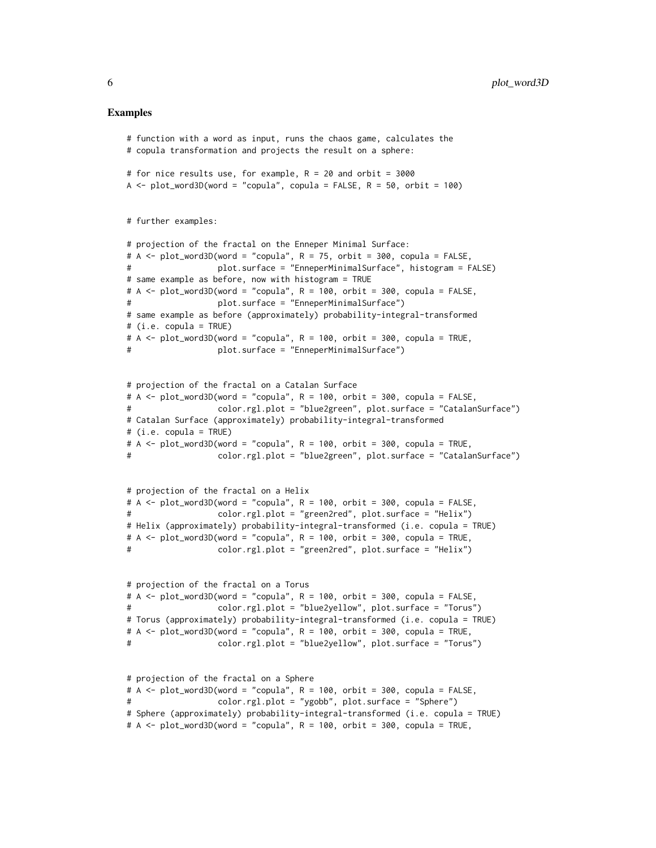#### Examples

```
# function with a word as input, runs the chaos game, calculates the
# copula transformation and projects the result on a sphere:
# for nice results use, for example, R = 20 and orbit = 3000
A \le plot_word3D(word = "copula", copula = FALSE, R = 50, orbit = 100)
# further examples:
# projection of the fractal on the Enneper Minimal Surface:
# A <- plot_word3D(word = "copula", R = 75, orbit = 300, copula = FALSE,
# plot.surface = "EnneperMinimalSurface", histogram = FALSE)
# same example as before, now with histogram = TRUE
# A <- plot_word3D(word = "copula", R = 100, orbit = 300, copula = FALSE,
# plot.surface = "EnneperMinimalSurface")
# same example as before (approximately) probability-integral-transformed
# (i.e. copula = TRUE)
# A <- plot_word3D(word = "copula", R = 100, orbit = 300, copula = TRUE,
                  plot.surface = "EnneperMinimalSurface")
# projection of the fractal on a Catalan Surface
# A <- plot_word3D(word = "copula", R = 100, orbit = 300, copula = FALSE,
# color.rgl.plot = "blue2green", plot.surface = "CatalanSurface")
# Catalan Surface (approximately) probability-integral-transformed
# (i.e. copula = TRUE)
# A \le plot_word3D(word = "copula", R = 100, orbit = 300, copula = TRUE,
# color.rgl.plot = "blue2green", plot.surface = "CatalanSurface")
# projection of the fractal on a Helix
# A <- plot_word3D(word = "copula", R = 100, orbit = 300, copula = FALSE,
                  color.rgl.plot = "green2red", plot.surface = "Helix")# Helix (approximately) probability-integral-transformed (i.e. copula = TRUE)
# A <- plot_word3D(word = "copula", R = 100, orbit = 300, copula = TRUE,
# color.rgl.plot = "green2red", plot.surface = "Helix")
# projection of the fractal on a Torus
# A <- plot_word3D(word = "copula", R = 100, orbit = 300, copula = FALSE,
# color.rgl.plot = "blue2yellow", plot.surface = "Torus")
# Torus (approximately) probability-integral-transformed (i.e. copula = TRUE)
# A <- plot_word3D(word = "copula", R = 100, orbit = 300, copula = TRUE,
                  color.rgl.plot = "blue2yellow", plot.surface = "Torus")# projection of the fractal on a Sphere
# A \le plot_word3D(word = "copula", R = 100, orbit = 300, copula = FALSE,
# color.rgl.plot = "ygobb", plot.surface = "Sphere")
# Sphere (approximately) probability-integral-transformed (i.e. copula = TRUE)
# A <- plot_word3D(word = "copula", R = 100, orbit = 300, copula = TRUE,
```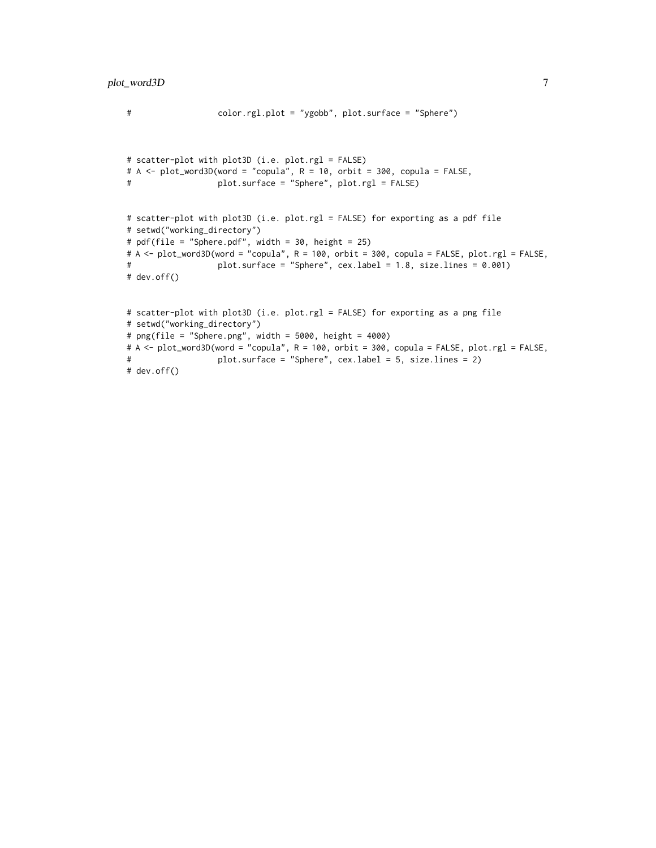```
# color.rgl.plot = "ygobb", plot.surface = "Sphere")
# scatter-plot with plot3D (i.e. plot.rgl = FALSE)
# A <- plot_word3D(word = "copula", R = 10, orbit = 300, copula = FALSE,
# plot.surface = "Sphere", plot.rgl = FALSE)
# scatter-plot with plot3D (i.e. plot.rgl = FALSE) for exporting as a pdf file
# setwd("working_directory")
# pdf(file = "Sphere.pdf", width = 30, height = 25)
# A <- plot_word3D(word = "copula", R = 100, orbit = 300, copula = FALSE, plot.rgl = FALSE,
# plot.surface = "Sphere", cex.label = 1.8, size.lines = 0.001)
# dev.off()
# scatter-plot with plot3D (i.e. plot.rgl = FALSE) for exporting as a png file
# setwd("working_directory")
# png(file = "Sphere.png", width = 5000, height = 4000)
# A <- plot_word3D(word = "copula", R = 100, orbit = 300, copula = FALSE, plot.rgl = FALSE,
# plot.surface = "Sphere", cex.label = 5, size.lines = 2)
# dev.off()
```